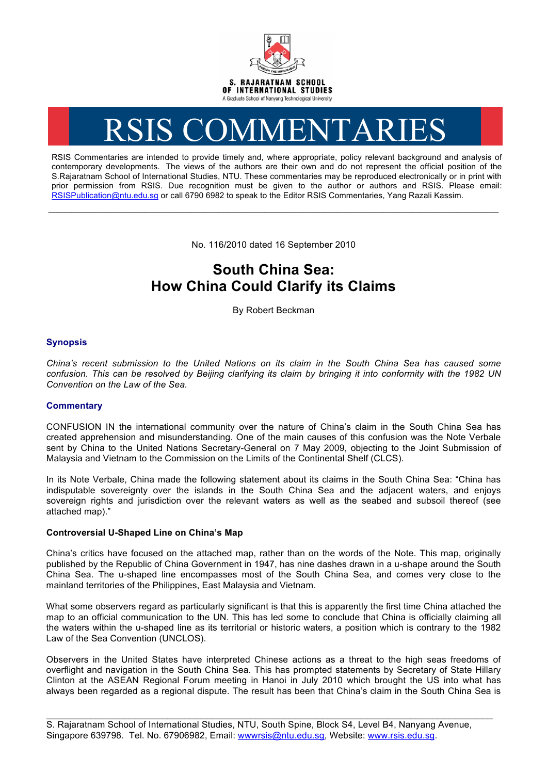

# RSIS COMMENTARIES

RSIS Commentaries are intended to provide timely and, where appropriate, policy relevant background and analysis of contemporary developments. The views of the authors are their own and do not represent the official position of the S.Rajaratnam School of International Studies, NTU. These commentaries may be reproduced electronically or in print with prior permission from RSIS. Due recognition must be given to the author or authors and RSIS. Please email: RSISPublication@ntu.edu.sg or call 6790 6982 to speak to the Editor RSIS Commentaries, Yang Razali Kassim.

No. 116/2010 dated 16 September 2010

**\_\_\_\_\_\_\_\_\_\_\_\_\_\_\_\_\_\_\_\_\_\_\_\_\_\_\_\_\_\_\_\_\_\_\_\_\_\_\_\_\_\_\_\_\_\_\_\_\_\_\_\_\_\_\_\_\_\_\_\_\_\_\_\_\_\_\_\_\_\_\_\_\_\_\_\_\_\_\_\_\_\_\_\_\_\_\_\_\_\_\_\_\_\_\_\_\_\_**

# **South China Sea: How China Could Clarify its Claims**

By Robert Beckman

# **Synopsis**

*China's recent submission to the United Nations on its claim in the South China Sea has caused some confusion. This can be resolved by Beijing clarifying its claim by bringing it into conformity with the 1982 UN Convention on the Law of the Sea.* 

# **Commentary**

CONFUSION IN the international community over the nature of China's claim in the South China Sea has created apprehension and misunderstanding. One of the main causes of this confusion was the Note Verbale sent by China to the United Nations Secretary-General on 7 May 2009, objecting to the Joint Submission of Malaysia and Vietnam to the Commission on the Limits of the Continental Shelf (CLCS).

In its Note Verbale, China made the following statement about its claims in the South China Sea: "China has indisputable sovereignty over the islands in the South China Sea and the adjacent waters, and enjoys sovereign rights and jurisdiction over the relevant waters as well as the seabed and subsoil thereof (see attached map)."

### **Controversial U-Shaped Line on China's Map**

China's critics have focused on the attached map, rather than on the words of the Note. This map, originally published by the Republic of China Government in 1947, has nine dashes drawn in a u-shape around the South China Sea. The u-shaped line encompasses most of the South China Sea, and comes very close to the mainland territories of the Philippines, East Malaysia and Vietnam.

What some observers regard as particularly significant is that this is apparently the first time China attached the map to an official communication to the UN. This has led some to conclude that China is officially claiming all the waters within the u-shaped line as its territorial or historic waters, a position which is contrary to the 1982 Law of the Sea Convention (UNCLOS).

Observers in the United States have interpreted Chinese actions as a threat to the high seas freedoms of overflight and navigation in the South China Sea. This has prompted statements by Secretary of State Hillary Clinton at the ASEAN Regional Forum meeting in Hanoi in July 2010 which brought the US into what has always been regarded as a regional dispute. The result has been that China's claim in the South China Sea is